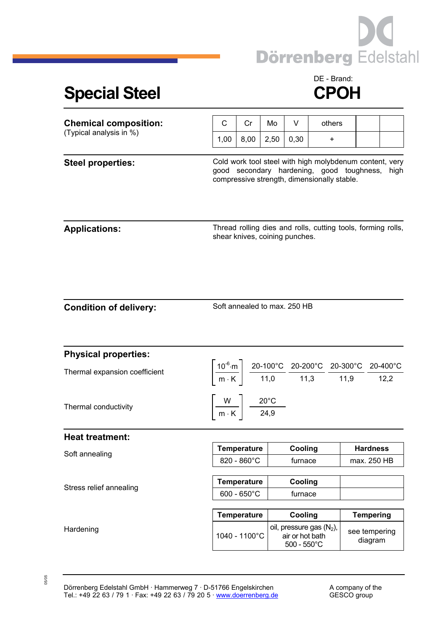

## Special Steel **CPOH**

## DE - Brand:

| <b>Chemical composition:</b><br>(Typical analysis in %) | С                                                                                                                                                                                                                                           | Cr                    | Mo   | V                                                                       | others                                                       |                          |             |  |
|---------------------------------------------------------|---------------------------------------------------------------------------------------------------------------------------------------------------------------------------------------------------------------------------------------------|-----------------------|------|-------------------------------------------------------------------------|--------------------------------------------------------------|--------------------------|-------------|--|
|                                                         | 1,00                                                                                                                                                                                                                                        | 8,00                  | 2,50 | 0,30                                                                    | +                                                            |                          |             |  |
| <b>Steel properties:</b>                                | Cold work tool steel with high molybdenum content, very<br>good secondary hardening, good toughness, high<br>compressive strength, dimensionally stable.                                                                                    |                       |      |                                                                         |                                                              |                          |             |  |
| <b>Applications:</b>                                    |                                                                                                                                                                                                                                             |                       |      | shear knives, coining punches.                                          | Thread rolling dies and rolls, cutting tools, forming rolls, |                          |             |  |
| <b>Condition of delivery:</b>                           | Soft annealed to max. 250 HB                                                                                                                                                                                                                |                       |      |                                                                         |                                                              |                          |             |  |
| <b>Physical properties:</b>                             |                                                                                                                                                                                                                                             |                       |      |                                                                         |                                                              |                          |             |  |
| Thermal expansion coefficient                           | $\left[\frac{10^{-6}\text{ m}}{\text{m} \cdot \text{K}}\right] \frac{\text{20-100}^{\circ}\text{C}}{11,0} \frac{\text{20-200}^{\circ}\text{C}}{11,3} \frac{\text{20-300}^{\circ}\text{C}}{11,9} \frac{\text{20-400}^{\circ}\text{C}}{12,2}$ |                       |      |                                                                         |                                                              |                          |             |  |
| Thermal conductivity                                    | $\left \frac{W}{m\cdot K}\right  \frac{20^{\circ}C}{24.9}$                                                                                                                                                                                  |                       |      |                                                                         |                                                              |                          |             |  |
| <b>Heat treatment:</b>                                  |                                                                                                                                                                                                                                             |                       |      |                                                                         |                                                              |                          |             |  |
| Soft annealing                                          |                                                                                                                                                                                                                                             | <b>Temperature</b>    |      | Cooling                                                                 |                                                              | <b>Hardness</b>          |             |  |
|                                                         |                                                                                                                                                                                                                                             | 820 - 860°C           |      | furnace                                                                 |                                                              |                          | max. 250 HB |  |
| Stress relief annealing                                 |                                                                                                                                                                                                                                             | <b>Temperature</b>    |      | Cooling                                                                 |                                                              |                          |             |  |
|                                                         |                                                                                                                                                                                                                                             | $600 - 650^{\circ}$ C |      | furnace                                                                 |                                                              |                          |             |  |
|                                                         |                                                                                                                                                                                                                                             | <b>Temperature</b>    |      | Cooling                                                                 |                                                              | <b>Tempering</b>         |             |  |
| Hardening                                               | 1040 - 1100°C                                                                                                                                                                                                                               |                       |      | oil, pressure gas $(N_2)$ ,<br>air or hot bath<br>$500 - 550^{\circ}$ C |                                                              | see tempering<br>diagram |             |  |